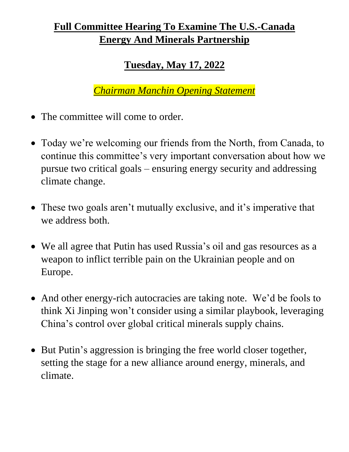## **Full Committee Hearing To Examine The U.S.-Canada Energy And Minerals Partnership**

## **Tuesday, May 17, 2022**

*Chairman Manchin Opening Statement*

- The committee will come to order.
- Today we're welcoming our friends from the North, from Canada, to continue this committee's very important conversation about how we pursue two critical goals – ensuring energy security and addressing climate change.
- These two goals aren't mutually exclusive, and it's imperative that we address both.
- We all agree that Putin has used Russia's oil and gas resources as a weapon to inflict terrible pain on the Ukrainian people and on Europe.
- And other energy-rich autocracies are taking note. We'd be fools to think Xi Jinping won't consider using a similar playbook, leveraging China's control over global critical minerals supply chains.
- But Putin's aggression is bringing the free world closer together, setting the stage for a new alliance around energy, minerals, and climate.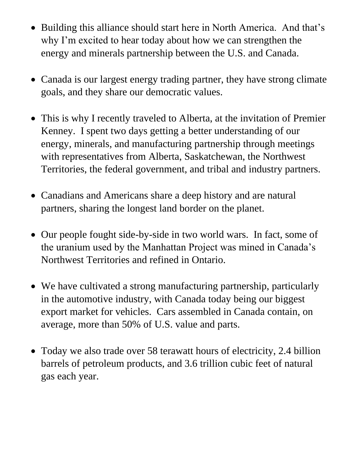- Building this alliance should start here in North America. And that's why I'm excited to hear today about how we can strengthen the energy and minerals partnership between the U.S. and Canada.
- Canada is our largest energy trading partner, they have strong climate goals, and they share our democratic values.
- This is why I recently traveled to Alberta, at the invitation of Premier Kenney. I spent two days getting a better understanding of our energy, minerals, and manufacturing partnership through meetings with representatives from Alberta, Saskatchewan, the Northwest Territories, the federal government, and tribal and industry partners.
- Canadians and Americans share a deep history and are natural partners, sharing the longest land border on the planet.
- Our people fought side-by-side in two world wars. In fact, some of the uranium used by the Manhattan Project was mined in Canada's Northwest Territories and refined in Ontario.
- We have cultivated a strong manufacturing partnership, particularly in the automotive industry, with Canada today being our biggest export market for vehicles. Cars assembled in Canada contain, on average, more than 50% of U.S. value and parts.
- Today we also trade over 58 terawatt hours of electricity, 2.4 billion barrels of petroleum products, and 3.6 trillion cubic feet of natural gas each year.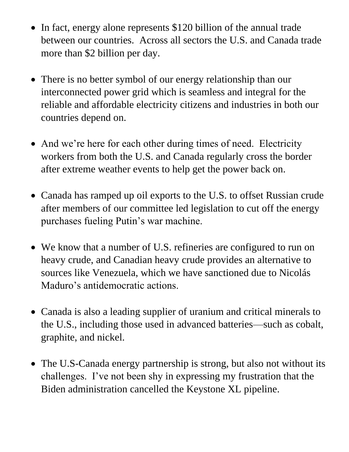- In fact, energy alone represents \$120 billion of the annual trade between our countries. Across all sectors the U.S. and Canada trade more than \$2 billion per day.
- There is no better symbol of our energy relationship than our interconnected power grid which is seamless and integral for the reliable and affordable electricity citizens and industries in both our countries depend on.
- And we're here for each other during times of need. Electricity workers from both the U.S. and Canada regularly cross the border after extreme weather events to help get the power back on.
- Canada has ramped up oil exports to the U.S. to offset Russian crude after members of our committee led legislation to cut off the energy purchases fueling Putin's war machine.
- We know that a number of U.S. refineries are configured to run on heavy crude, and Canadian heavy crude provides an alternative to sources like Venezuela, which we have sanctioned due to Nicolás Maduro's antidemocratic actions.
- Canada is also a leading supplier of uranium and critical minerals to the U.S., including those used in advanced batteries—such as cobalt, graphite, and nickel.
- The U.S-Canada energy partnership is strong, but also not without its challenges. I've not been shy in expressing my frustration that the Biden administration cancelled the Keystone XL pipeline.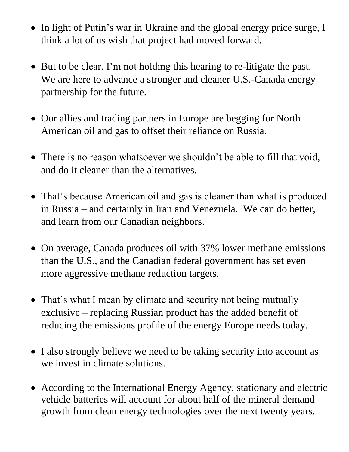- In light of Putin's war in Ukraine and the global energy price surge, I think a lot of us wish that project had moved forward.
- But to be clear, I'm not holding this hearing to re-litigate the past. We are here to advance a stronger and cleaner U.S.-Canada energy partnership for the future.
- Our allies and trading partners in Europe are begging for North American oil and gas to offset their reliance on Russia.
- There is no reason whatsoever we shouldn't be able to fill that void, and do it cleaner than the alternatives.
- That's because American oil and gas is cleaner than what is produced in Russia – and certainly in Iran and Venezuela. We can do better, and learn from our Canadian neighbors.
- On average, Canada produces oil with 37% lower methane emissions than the U.S., and the Canadian federal government has set even more aggressive methane reduction targets.
- That's what I mean by climate and security not being mutually exclusive – replacing Russian product has the added benefit of reducing the emissions profile of the energy Europe needs today.
- I also strongly believe we need to be taking security into account as we invest in climate solutions.
- According to the International Energy Agency, stationary and electric vehicle batteries will account for about half of the mineral demand growth from clean energy technologies over the next twenty years.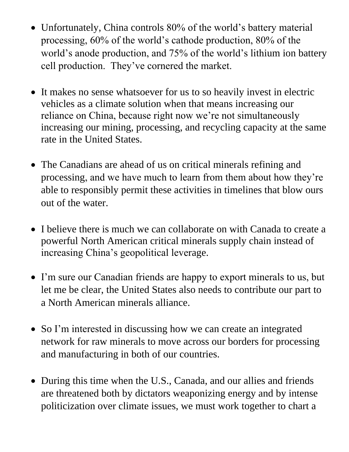- Unfortunately, China controls 80% of the world's battery material processing, 60% of the world's cathode production, 80% of the world's anode production, and 75% of the world's lithium ion battery cell production. They've cornered the market.
- It makes no sense whatsoever for us to so heavily invest in electric vehicles as a climate solution when that means increasing our reliance on China, because right now we're not simultaneously increasing our mining, processing, and recycling capacity at the same rate in the United States.
- The Canadians are ahead of us on critical minerals refining and processing, and we have much to learn from them about how they're able to responsibly permit these activities in timelines that blow ours out of the water.
- I believe there is much we can collaborate on with Canada to create a powerful North American critical minerals supply chain instead of increasing China's geopolitical leverage.
- I'm sure our Canadian friends are happy to export minerals to us, but let me be clear, the United States also needs to contribute our part to a North American minerals alliance.
- So I'm interested in discussing how we can create an integrated network for raw minerals to move across our borders for processing and manufacturing in both of our countries.
- During this time when the U.S., Canada, and our allies and friends are threatened both by dictators weaponizing energy and by intense politicization over climate issues, we must work together to chart a